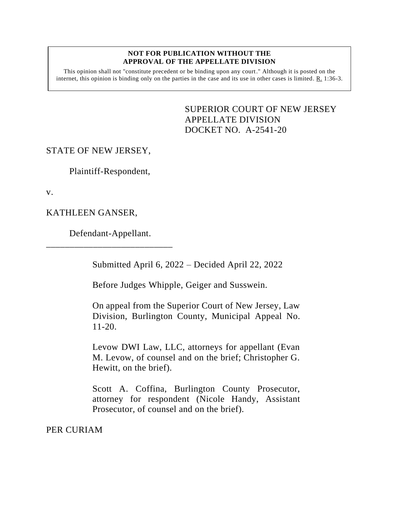## **NOT FOR PUBLICATION WITHOUT THE APPROVAL OF THE APPELLATE DIVISION**

This opinion shall not "constitute precedent or be binding upon any court." Although it is posted on the internet, this opinion is binding only on the parties in the case and its use in other cases is limited. R. 1:36-3.

> SUPERIOR COURT OF NEW JERSEY APPELLATE DIVISION DOCKET NO. A-2541-20

## STATE OF NEW JERSEY,

Plaintiff-Respondent,

v.

## KATHLEEN GANSER,

Defendant-Appellant. \_\_\_\_\_\_\_\_\_\_\_\_\_\_\_\_\_\_\_\_\_\_\_\_\_\_\_

Submitted April 6, 2022 – Decided April 22, 2022

Before Judges Whipple, Geiger and Susswein.

On appeal from the Superior Court of New Jersey, Law Division, Burlington County, Municipal Appeal No. 11-20.

Levow DWI Law, LLC, attorneys for appellant (Evan M. Levow, of counsel and on the brief; Christopher G. Hewitt, on the brief).

Scott A. Coffina, Burlington County Prosecutor, attorney for respondent (Nicole Handy, Assistant Prosecutor, of counsel and on the brief).

PER CURIAM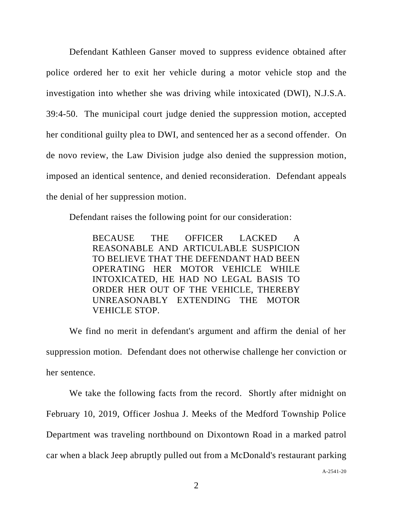Defendant Kathleen Ganser moved to suppress evidence obtained after police ordered her to exit her vehicle during a motor vehicle stop and the investigation into whether she was driving while intoxicated (DWI), N.J.S.A. 39:4-50. The municipal court judge denied the suppression motion, accepted her conditional guilty plea to DWI, and sentenced her as a second offender. On de novo review, the Law Division judge also denied the suppression motion, imposed an identical sentence, and denied reconsideration. Defendant appeals the denial of her suppression motion.

Defendant raises the following point for our consideration:

BECAUSE THE OFFICER LACKED A REASONABLE AND ARTICULABLE SUSPICION TO BELIEVE THAT THE DEFENDANT HAD BEEN OPERATING HER MOTOR VEHICLE WHILE INTOXICATED, HE HAD NO LEGAL BASIS TO ORDER HER OUT OF THE VEHICLE, THEREBY UNREASONABLY EXTENDING THE MOTOR VEHICLE STOP.

We find no merit in defendant's argument and affirm the denial of her suppression motion. Defendant does not otherwise challenge her conviction or her sentence.

We take the following facts from the record. Shortly after midnight on February 10, 2019, Officer Joshua J. Meeks of the Medford Township Police Department was traveling northbound on Dixontown Road in a marked patrol car when a black Jeep abruptly pulled out from a McDonald's restaurant parking

A-2541-20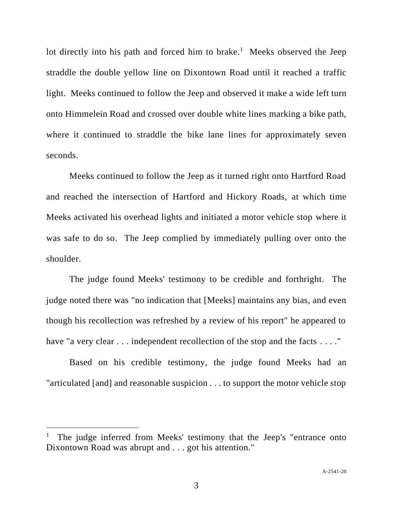lot directly into his path and forced him to brake.<sup>1</sup> Meeks observed the Jeep straddle the double yellow line on Dixontown Road until it reached a traffic light. Meeks continued to follow the Jeep and observed it make a wide left turn onto Himmelein Road and crossed over double white lines marking a bike path, where it continued to straddle the bike lane lines for approximately seven seconds.

Meeks continued to follow the Jeep as it turned right onto Hartford Road and reached the intersection of Hartford and Hickory Roads, at which time Meeks activated his overhead lights and initiated a motor vehicle stop where it was safe to do so. The Jeep complied by immediately pulling over onto the shoulder.

The judge found Meeks' testimony to be credible and forthright. The judge noted there was "no indication that [Meeks] maintains any bias, and even though his recollection was refreshed by a review of his report" he appeared to have "a very clear . . . independent recollection of the stop and the facts . . . ."

Based on his credible testimony, the judge found Meeks had an "articulated [and] and reasonable suspicion . . . to support the motor vehicle stop

<sup>1</sup> The judge inferred from Meeks' testimony that the Jeep's "entrance onto Dixontown Road was abrupt and . . . got his attention."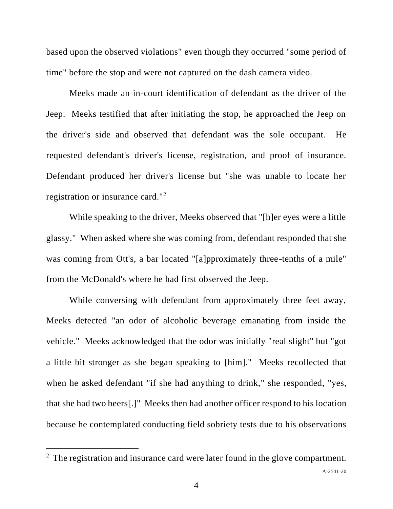based upon the observed violations" even though they occurred "some period of time" before the stop and were not captured on the dash camera video.

Meeks made an in-court identification of defendant as the driver of the Jeep. Meeks testified that after initiating the stop, he approached the Jeep on the driver's side and observed that defendant was the sole occupant. He requested defendant's driver's license, registration, and proof of insurance. Defendant produced her driver's license but "she was unable to locate her registration or insurance card."<sup>2</sup>

While speaking to the driver, Meeks observed that "[h]er eyes were a little glassy." When asked where she was coming from, defendant responded that she was coming from Ott's, a bar located "[a]pproximately three-tenths of a mile" from the McDonald's where he had first observed the Jeep.

While conversing with defendant from approximately three feet away, Meeks detected "an odor of alcoholic beverage emanating from inside the vehicle." Meeks acknowledged that the odor was initially "real slight" but "got a little bit stronger as she began speaking to [him]." Meeks recollected that when he asked defendant "if she had anything to drink," she responded, "yes, that she had two beers[.]" Meeks then had another officer respond to his location because he contemplated conducting field sobriety tests due to his observations

A-2541-20

<sup>&</sup>lt;sup>2</sup> The registration and insurance card were later found in the glove compartment.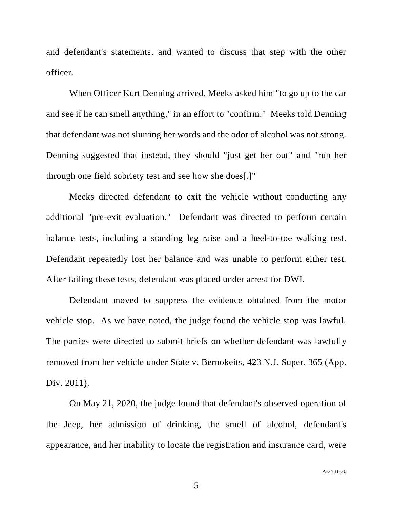and defendant's statements, and wanted to discuss that step with the other officer.

When Officer Kurt Denning arrived, Meeks asked him "to go up to the car and see if he can smell anything," in an effort to "confirm." Meeks told Denning that defendant was not slurring her words and the odor of alcohol was not strong. Denning suggested that instead, they should "just get her out" and "run her through one field sobriety test and see how she does[.]"

Meeks directed defendant to exit the vehicle without conducting any additional "pre-exit evaluation." Defendant was directed to perform certain balance tests, including a standing leg raise and a heel-to-toe walking test. Defendant repeatedly lost her balance and was unable to perform either test. After failing these tests, defendant was placed under arrest for DWI.

Defendant moved to suppress the evidence obtained from the motor vehicle stop. As we have noted, the judge found the vehicle stop was lawful. The parties were directed to submit briefs on whether defendant was lawfully removed from her vehicle under State v. Bernokeits, 423 N.J. Super. 365 (App. Div. 2011).

On May 21, 2020, the judge found that defendant's observed operation of the Jeep, her admission of drinking, the smell of alcohol, defendant's appearance, and her inability to locate the registration and insurance card, were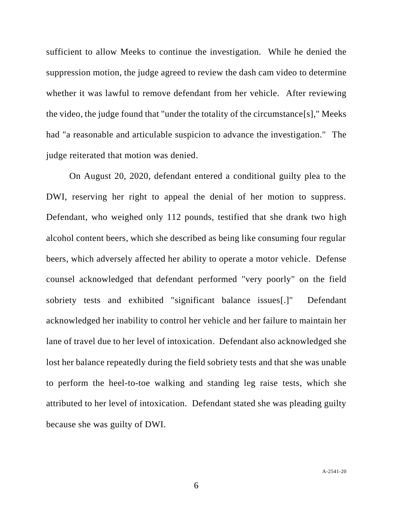sufficient to allow Meeks to continue the investigation. While he denied the suppression motion, the judge agreed to review the dash cam video to determine whether it was lawful to remove defendant from her vehicle. After reviewing the video, the judge found that "under the totality of the circumstance[s]," Meeks had "a reasonable and articulable suspicion to advance the investigation." The judge reiterated that motion was denied.

On August 20, 2020, defendant entered a conditional guilty plea to the DWI, reserving her right to appeal the denial of her motion to suppress. Defendant, who weighed only 112 pounds, testified that she drank two high alcohol content beers, which she described as being like consuming four regular beers, which adversely affected her ability to operate a motor vehicle. Defense counsel acknowledged that defendant performed "very poorly" on the field sobriety tests and exhibited "significant balance issues[.]" Defendant acknowledged her inability to control her vehicle and her failure to maintain her lane of travel due to her level of intoxication. Defendant also acknowledged she lost her balance repeatedly during the field sobriety tests and that she was unable to perform the heel-to-toe walking and standing leg raise tests, which she attributed to her level of intoxication. Defendant stated she was pleading guilty because she was guilty of DWI.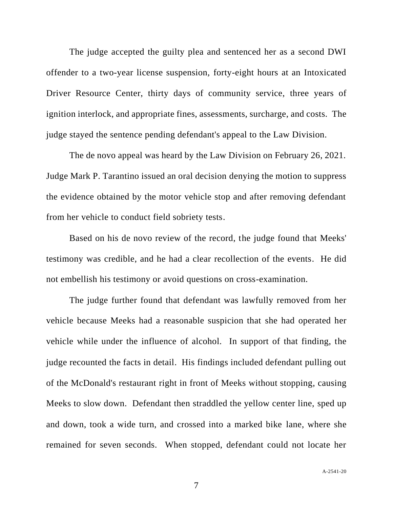The judge accepted the guilty plea and sentenced her as a second DWI offender to a two-year license suspension, forty-eight hours at an Intoxicated Driver Resource Center, thirty days of community service, three years of ignition interlock, and appropriate fines, assessments, surcharge, and costs. The judge stayed the sentence pending defendant's appeal to the Law Division.

The de novo appeal was heard by the Law Division on February 26, 2021. Judge Mark P. Tarantino issued an oral decision denying the motion to suppress the evidence obtained by the motor vehicle stop and after removing defendant from her vehicle to conduct field sobriety tests.

Based on his de novo review of the record, the judge found that Meeks' testimony was credible, and he had a clear recollection of the events. He did not embellish his testimony or avoid questions on cross-examination.

The judge further found that defendant was lawfully removed from her vehicle because Meeks had a reasonable suspicion that she had operated her vehicle while under the influence of alcohol. In support of that finding, the judge recounted the facts in detail. His findings included defendant pulling out of the McDonald's restaurant right in front of Meeks without stopping, causing Meeks to slow down. Defendant then straddled the yellow center line, sped up and down, took a wide turn, and crossed into a marked bike lane, where she remained for seven seconds. When stopped, defendant could not locate her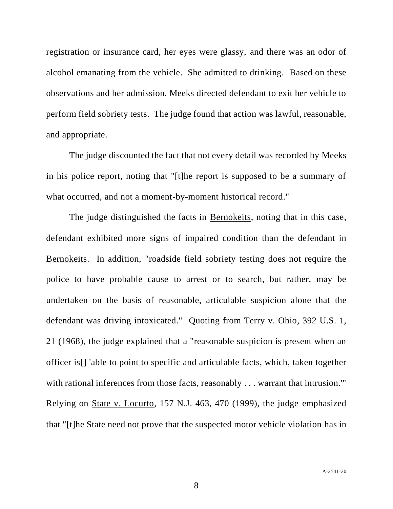registration or insurance card, her eyes were glassy, and there was an odor of alcohol emanating from the vehicle. She admitted to drinking. Based on these observations and her admission, Meeks directed defendant to exit her vehicle to perform field sobriety tests. The judge found that action was lawful, reasonable, and appropriate.

The judge discounted the fact that not every detail was recorded by Meeks in his police report, noting that "[t]he report is supposed to be a summary of what occurred, and not a moment-by-moment historical record."

The judge distinguished the facts in Bernokeits, noting that in this case, defendant exhibited more signs of impaired condition than the defendant in Bernokeits. In addition, "roadside field sobriety testing does not require the police to have probable cause to arrest or to search, but rather, may be undertaken on the basis of reasonable, articulable suspicion alone that the defendant was driving intoxicated." Quoting from Terry v. Ohio, 392 U.S. 1, 21 (1968), the judge explained that a "reasonable suspicion is present when an officer is[] 'able to point to specific and articulable facts, which, taken together with rational inferences from those facts, reasonably . . . warrant that intrusion." Relying on State v. Locurto, 157 N.J. 463, 470 (1999), the judge emphasized that "[t]he State need not prove that the suspected motor vehicle violation has in

8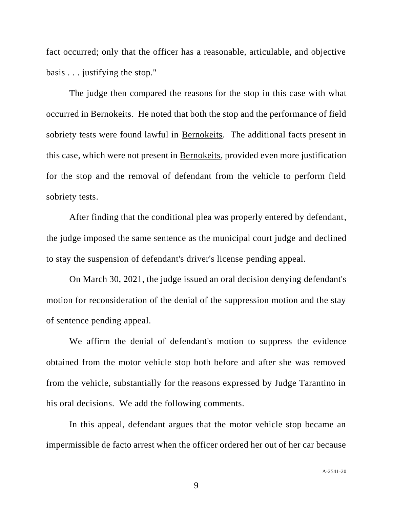fact occurred; only that the officer has a reasonable, articulable, and objective basis . . . justifying the stop."

The judge then compared the reasons for the stop in this case with what occurred in Bernokeits. He noted that both the stop and the performance of field sobriety tests were found lawful in Bernokeits. The additional facts present in this case, which were not present in Bernokeits, provided even more justification for the stop and the removal of defendant from the vehicle to perform field sobriety tests.

After finding that the conditional plea was properly entered by defendant, the judge imposed the same sentence as the municipal court judge and declined to stay the suspension of defendant's driver's license pending appeal.

On March 30, 2021, the judge issued an oral decision denying defendant's motion for reconsideration of the denial of the suppression motion and the stay of sentence pending appeal.

We affirm the denial of defendant's motion to suppress the evidence obtained from the motor vehicle stop both before and after she was removed from the vehicle, substantially for the reasons expressed by Judge Tarantino in his oral decisions. We add the following comments.

In this appeal, defendant argues that the motor vehicle stop became an impermissible de facto arrest when the officer ordered her out of her car because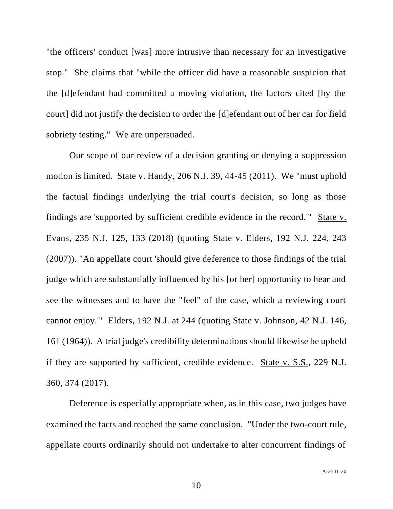"the officers' conduct [was] more intrusive than necessary for an investigative stop." She claims that "while the officer did have a reasonable suspicion that the [d]efendant had committed a moving violation, the factors cited [by the court] did not justify the decision to order the [d]efendant out of her car for field sobriety testing." We are unpersuaded.

Our scope of our review of a decision granting or denying a suppression motion is limited. State v. Handy, 206 N.J. 39, 44-45 (2011). We "must uphold the factual findings underlying the trial court's decision, so long as those findings are 'supported by sufficient credible evidence in the record.'" State v. Evans, 235 N.J. 125, 133 (2018) (quoting State v. Elders, 192 N.J. 224, 243 (2007)). "An appellate court 'should give deference to those findings of the trial judge which are substantially influenced by his [or her] opportunity to hear and see the witnesses and to have the "feel" of the case, which a reviewing court cannot enjoy.'" Elders, 192 N.J. at 244 (quoting State v. Johnson, 42 N.J. 146, 161 (1964)). A trial judge's credibility determinations should likewise be upheld if they are supported by sufficient, credible evidence. State v. S.S., 229 N.J. 360, 374 (2017).

Deference is especially appropriate when, as in this case, two judges have examined the facts and reached the same conclusion. "Under the two-court rule, appellate courts ordinarily should not undertake to alter concurrent findings of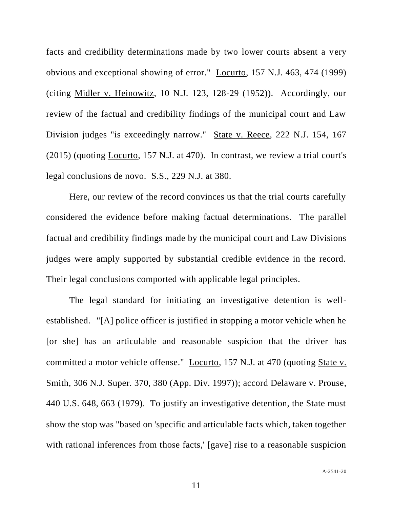facts and credibility determinations made by two lower courts absent a very obvious and exceptional showing of error." Locurto, 157 N.J. 463, 474 (1999) (citing Midler v. Heinowitz, 10 N.J. 123, 128-29 (1952)). Accordingly, our review of the factual and credibility findings of the municipal court and Law Division judges "is exceedingly narrow." State v. Reece, 222 N.J. 154, 167 (2015) (quoting Locurto, 157 N.J. at 470). In contrast, we review a trial court's legal conclusions de novo. S.S., 229 N.J. at 380.

Here, our review of the record convinces us that the trial courts carefully considered the evidence before making factual determinations. The parallel factual and credibility findings made by the municipal court and Law Divisions judges were amply supported by substantial credible evidence in the record. Their legal conclusions comported with applicable legal principles.

The legal standard for initiating an investigative detention is wellestablished. "[A] police officer is justified in stopping a motor vehicle when he [or she] has an articulable and reasonable suspicion that the driver has committed a motor vehicle offense." Locurto, 157 N.J. at 470 (quoting State v. Smith, 306 N.J. Super. 370, 380 (App. Div. 1997)); accord Delaware v. Prouse, 440 U.S. 648, 663 (1979). To justify an investigative detention, the State must show the stop was "based on 'specific and articulable facts which, taken together with rational inferences from those facts,' [gave] rise to a reasonable suspicion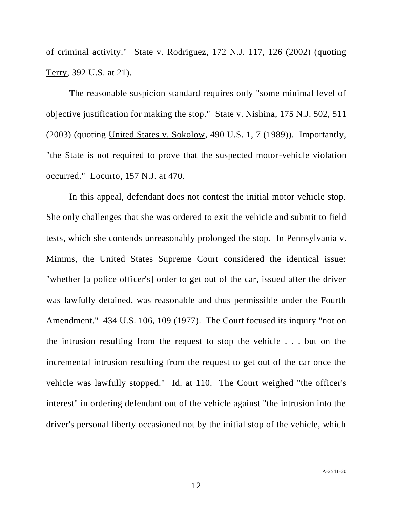of criminal activity." State v. Rodriguez, 172 N.J. 117, 126 (2002) (quoting Terry, 392 U.S. at 21).

The reasonable suspicion standard requires only "some minimal level of objective justification for making the stop." State v. Nishina, 175 N.J. 502, 511 (2003) (quoting United States v. Sokolow, 490 U.S. 1, 7 (1989)). Importantly, "the State is not required to prove that the suspected motor-vehicle violation occurred." Locurto, 157 N.J. at 470.

In this appeal, defendant does not contest the initial motor vehicle stop. She only challenges that she was ordered to exit the vehicle and submit to field tests, which she contends unreasonably prolonged the stop. In Pennsylvania v. Mimms, the United States Supreme Court considered the identical issue: "whether [a police officer's] order to get out of the car, issued after the driver was lawfully detained, was reasonable and thus permissible under the Fourth Amendment." 434 U.S. 106, 109 (1977). The Court focused its inquiry "not on the intrusion resulting from the request to stop the vehicle . . . but on the incremental intrusion resulting from the request to get out of the car once the vehicle was lawfully stopped." Id. at 110. The Court weighed "the officer's interest" in ordering defendant out of the vehicle against "the intrusion into the driver's personal liberty occasioned not by the initial stop of the vehicle, which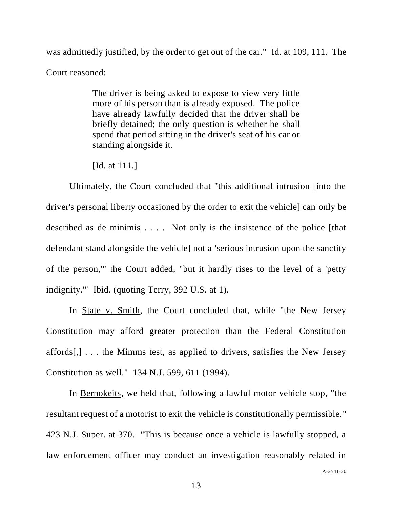was admittedly justified, by the order to get out of the car." Id. at 109, 111. The Court reasoned:

> The driver is being asked to expose to view very little more of his person than is already exposed. The police have already lawfully decided that the driver shall be briefly detained; the only question is whether he shall spend that period sitting in the driver's seat of his car or standing alongside it.

[**Id.** at 111.]

Ultimately, the Court concluded that "this additional intrusion [into the driver's personal liberty occasioned by the order to exit the vehicle] can only be described as de minimis . . . . Not only is the insistence of the police [that defendant stand alongside the vehicle] not a 'serious intrusion upon the sanctity of the person,'" the Court added, "but it hardly rises to the level of a 'petty indignity.'" Ibid. (quoting Terry, 392 U.S. at 1).

In State v. Smith, the Court concluded that, while "the New Jersey Constitution may afford greater protection than the Federal Constitution affords[,] . . . the Mimms test, as applied to drivers, satisfies the New Jersey Constitution as well." 134 N.J. 599, 611 (1994).

In Bernokeits, we held that, following a lawful motor vehicle stop, "the resultant request of a motorist to exit the vehicle is constitutionally permissible." 423 N.J. Super. at 370. "This is because once a vehicle is lawfully stopped, a law enforcement officer may conduct an investigation reasonably related in

A-2541-20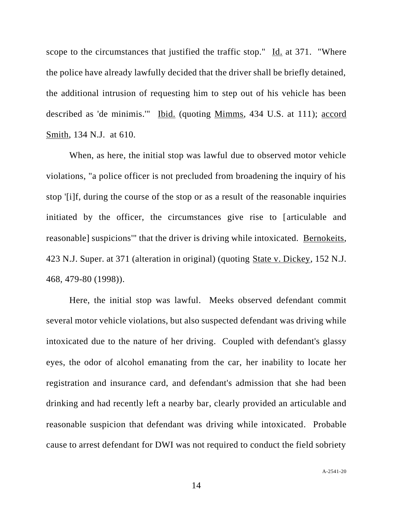scope to the circumstances that justified the traffic stop." Id. at 371. "Where the police have already lawfully decided that the driver shall be briefly detained, the additional intrusion of requesting him to step out of his vehicle has been described as 'de minimis.'" Ibid. (quoting Mimms, 434 U.S. at 111); accord Smith, 134 N.J. at 610.

When, as here, the initial stop was lawful due to observed motor vehicle violations, "a police officer is not precluded from broadening the inquiry of his stop '[i]f, during the course of the stop or as a result of the reasonable inquiries initiated by the officer, the circumstances give rise to [articulable and reasonable] suspicions'" that the driver is driving while intoxicated. Bernokeits, 423 N.J. Super. at 371 (alteration in original) (quoting State v. Dickey, 152 N.J. 468, 479-80 (1998)).

Here, the initial stop was lawful. Meeks observed defendant commit several motor vehicle violations, but also suspected defendant was driving while intoxicated due to the nature of her driving. Coupled with defendant's glassy eyes, the odor of alcohol emanating from the car, her inability to locate her registration and insurance card, and defendant's admission that she had been drinking and had recently left a nearby bar, clearly provided an articulable and reasonable suspicion that defendant was driving while intoxicated. Probable cause to arrest defendant for DWI was not required to conduct the field sobriety